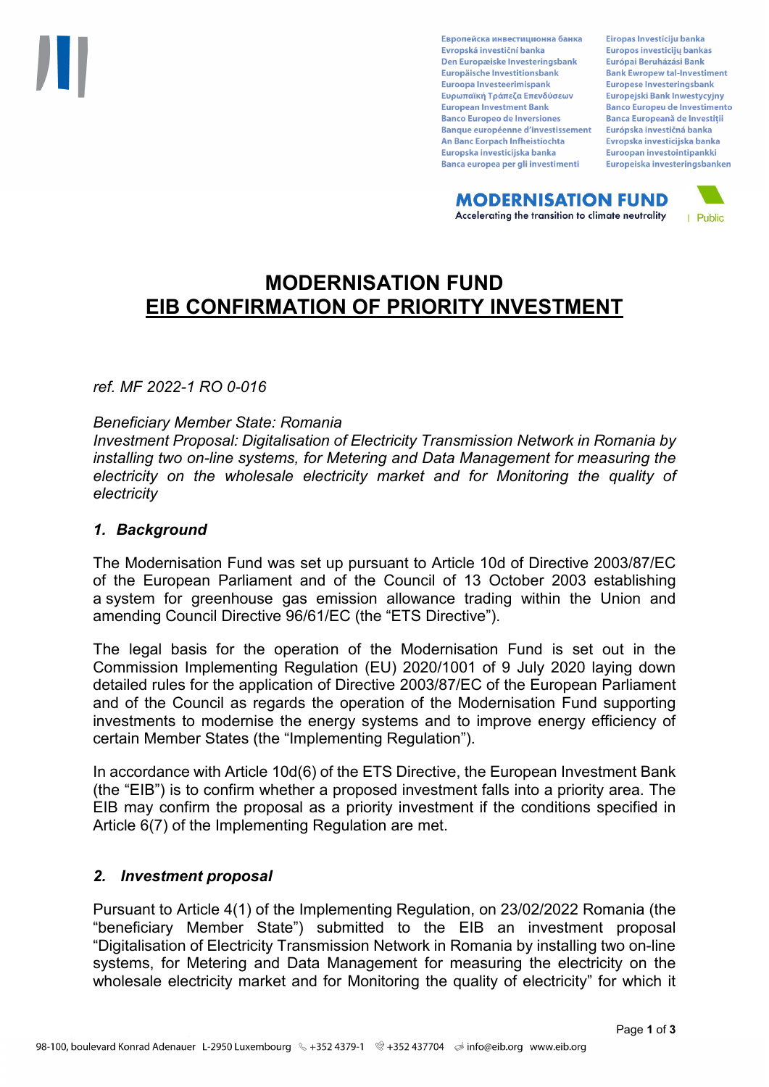Европейска инвестиционна банка Evropská investiční banka Den Europæiske Investeringsbank Europäische Investitionsbank Euroopa Investeerimispank Ευρωπαϊκή Τράπεζα Επενδύσεων **European Investment Bank Banco Europeo de Inversiones Banque européenne d'investissement** An Banc Eorpach Infheistíochta Europska investicijska banka Banca europea per gli investimenti

Eiropas Investīciju banka Europos investicijų bankas Európai Beruházási Bank **Bank Ewropew tal-Investiment** Europese Investeringsbank **Europejski Bank Inwestycyjny Banco Europeu de Investimento Banca Europeană de Investiții** Európska investičná banka Evropska investicijska banka Euroopan investointipankki Europeiska investeringsbanken

**MODERNISATION FUND** Accelerating the transition to climate neutrality



# **MODERNISATION FUND EIB CONFIRMATION OF PRIORITY INVESTMENT**

*ref. MF 2022-1 RO 0-016*

#### *Beneficiary Member State: Romania*

*Investment Proposal: Digitalisation of Electricity Transmission Network in Romania by installing two on-line systems, for Metering and Data Management for measuring the electricity on the wholesale electricity market and for Monitoring the quality of electricity*

#### *1. Background*

The Modernisation Fund was set up pursuant to Article 10d of Directive 2003/87/EC of the European Parliament and of the Council of 13 October 2003 establishing a system for greenhouse gas emission allowance trading within the Union and amending Council Directive 96/61/EC (the "ETS Directive").

The legal basis for the operation of the Modernisation Fund is set out in the Commission Implementing Regulation (EU) 2020/1001 of 9 July 2020 laying down detailed rules for the application of Directive 2003/87/EC of the European Parliament and of the Council as regards the operation of the Modernisation Fund supporting investments to modernise the energy systems and to improve energy efficiency of certain Member States (the "Implementing Regulation").

In accordance with Article 10d(6) of the ETS Directive, the European Investment Bank (the "EIB") is to confirm whether a proposed investment falls into a priority area. The EIB may confirm the proposal as a priority investment if the conditions specified in Article 6(7) of the Implementing Regulation are met.

## *2. Investment proposal*

Pursuant to Article 4(1) of the Implementing Regulation, on 23/02/2022 Romania (the "beneficiary Member State") submitted to the EIB an investment proposal "Digitalisation of Electricity Transmission Network in Romania by installing two on-line systems, for Metering and Data Management for measuring the electricity on the wholesale electricity market and for Monitoring the quality of electricity" for which it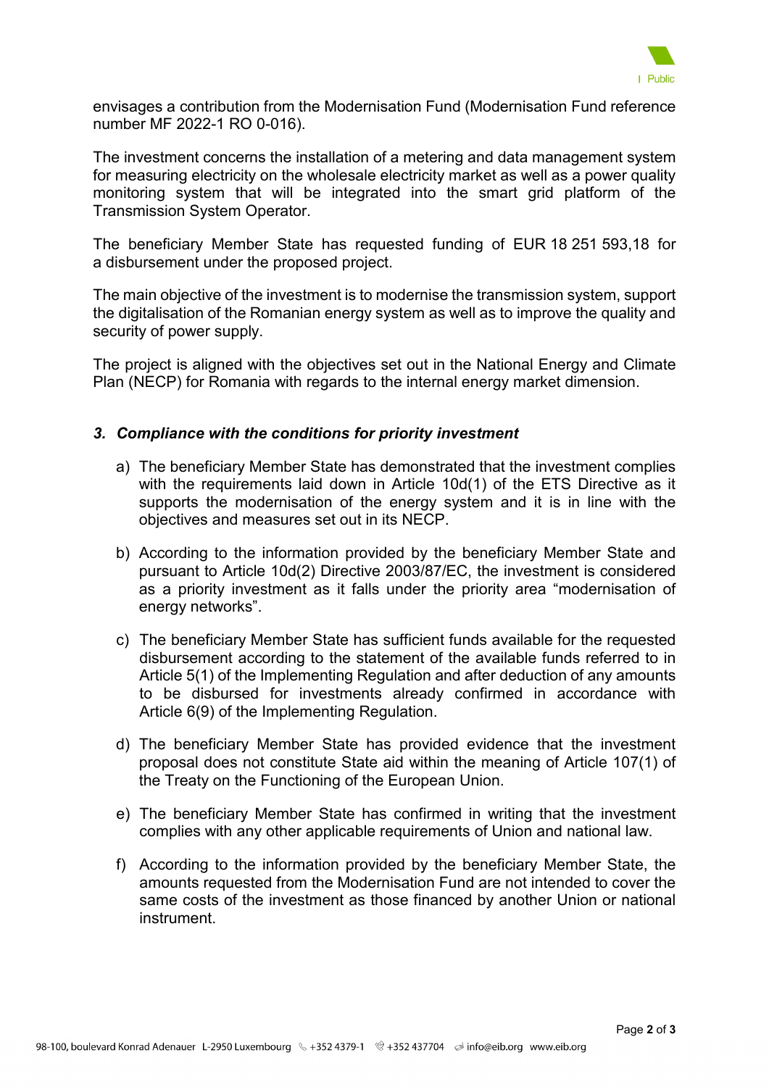

envisages a contribution from the Modernisation Fund (Modernisation Fund reference number MF 2022-1 RO 0-016).

The investment concerns the installation of a metering and data management system for measuring electricity on the wholesale electricity market as well as a power quality monitoring system that will be integrated into the smart grid platform of the Transmission System Operator.

The beneficiary Member State has requested funding of EUR 18 251 593,18 for a disbursement under the proposed project.

The main objective of the investment is to modernise the transmission system, support the digitalisation of the Romanian energy system as well as to improve the quality and security of power supply.

The project is aligned with the objectives set out in the National Energy and Climate Plan (NECP) for Romania with regards to the internal energy market dimension.

## *3. Compliance with the conditions for priority investment*

- a) The beneficiary Member State has demonstrated that the investment complies with the requirements laid down in Article 10d(1) of the ETS Directive as it supports the modernisation of the energy system and it is in line with the objectives and measures set out in its NECP.
- b) According to the information provided by the beneficiary Member State and pursuant to Article 10d(2) Directive 2003/87/EC, the investment is considered as a priority investment as it falls under the priority area "modernisation of energy networks".
- c) The beneficiary Member State has sufficient funds available for the requested disbursement according to the statement of the available funds referred to in Article 5(1) of the Implementing Regulation and after deduction of any amounts to be disbursed for investments already confirmed in accordance with Article 6(9) of the Implementing Regulation.
- d) The beneficiary Member State has provided evidence that the investment proposal does not constitute State aid within the meaning of Article 107(1) of the Treaty on the Functioning of the European Union.
- e) The beneficiary Member State has confirmed in writing that the investment complies with any other applicable requirements of Union and national law.
- f) According to the information provided by the beneficiary Member State, the amounts requested from the Modernisation Fund are not intended to cover the same costs of the investment as those financed by another Union or national instrument.